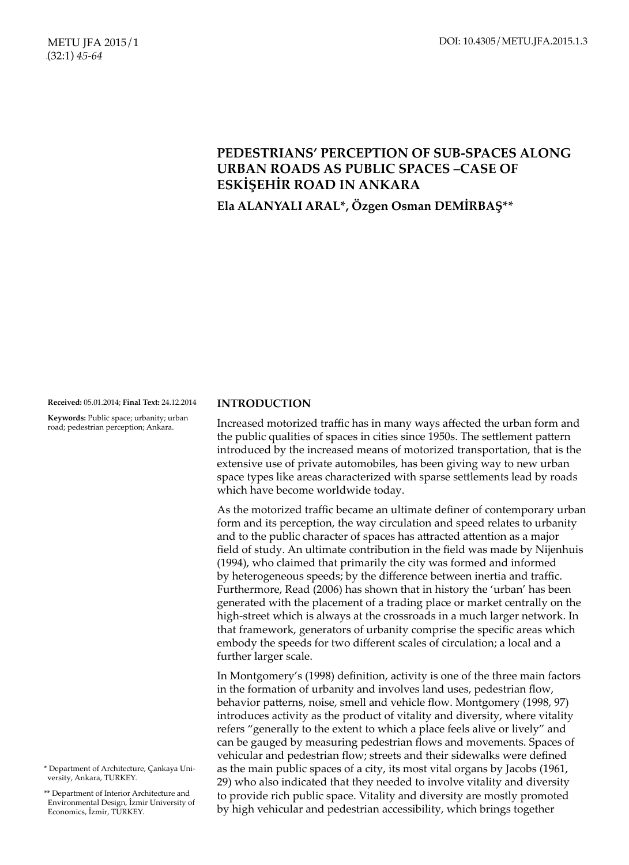# **PEDESTRIANS' PERCEPTION OF SUB-SPACES ALONG URBAN ROADS AS PUBLIC SPACES –CASE OF ESKİŞEHİR ROAD IN ANKARA**

# **Ela ALANYALI ARAL\*, Özgen Osman DEMİRBAŞ\*\***

**Received:** 05.01.2014; **Final Text:** 24.12.2014

**Keywords:** Public space; urbanity; urban road; pedestrian perception; Ankara.

#### \* Department of Architecture, Çankaya University, Ankara, TURKEY.

\*\* Department of Interior Architecture and Environmental Design, İzmir University of Economics, İzmir, TURKEY.

#### **INTRODUCTION**

Increased motorized traffic has in many ways affected the urban form and the public qualities of spaces in cities since 1950s. The settlement pattern introduced by the increased means of motorized transportation, that is the extensive use of private automobiles, has been giving way to new urban space types like areas characterized with sparse settlements lead by roads which have become worldwide today.

As the motorized traffic became an ultimate definer of contemporary urban form and its perception, the way circulation and speed relates to urbanity and to the public character of spaces has attracted attention as a major field of study. An ultimate contribution in the field was made by Nijenhuis (1994), who claimed that primarily the city was formed and informed by heterogeneous speeds; by the difference between inertia and traffic. Furthermore, Read (2006) has shown that in history the 'urban' has been generated with the placement of a trading place or market centrally on the high-street which is always at the crossroads in a much larger network. In that framework, generators of urbanity comprise the specific areas which embody the speeds for two different scales of circulation; a local and a further larger scale.

In Montgomery's (1998) definition, activity is one of the three main factors in the formation of urbanity and involves land uses, pedestrian flow, behavior patterns, noise, smell and vehicle flow. Montgomery (1998, 97) introduces activity as the product of vitality and diversity, where vitality refers "generally to the extent to which a place feels alive or lively" and can be gauged by measuring pedestrian flows and movements. Spaces of vehicular and pedestrian flow; streets and their sidewalks were defined as the main public spaces of a city, its most vital organs by Jacobs (1961, 29) who also indicated that they needed to involve vitality and diversity to provide rich public space. Vitality and diversity are mostly promoted by high vehicular and pedestrian accessibility, which brings together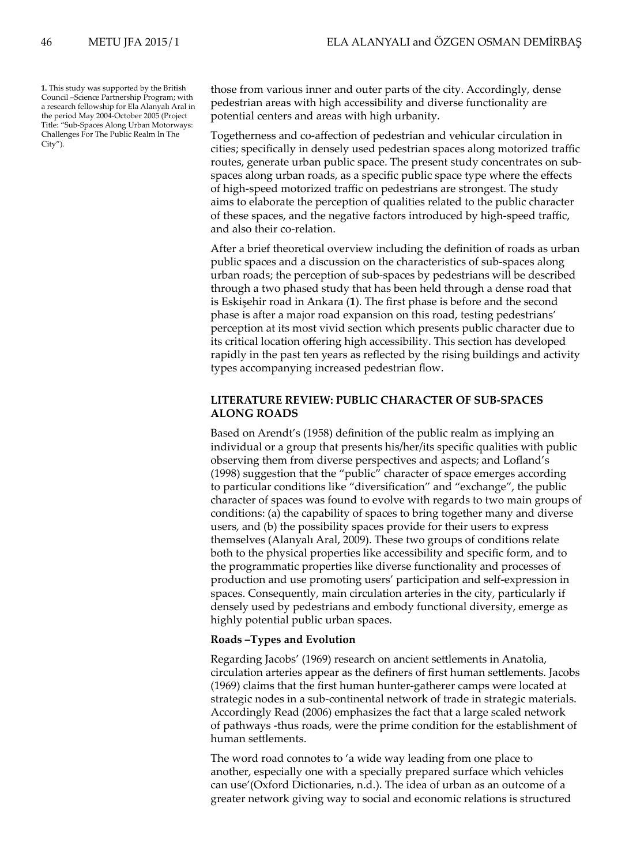**1.** This study was supported by the British Council –Science Partnership Program; with a research fellowship for Ela Alanyalı Aral in the period May 2004-October 2005 (Project Title: "Sub-Spaces Along Urban Motorways: Challenges For The Public Realm In The City").

those from various inner and outer parts of the city. Accordingly, dense pedestrian areas with high accessibility and diverse functionality are potential centers and areas with high urbanity.

Togetherness and co-affection of pedestrian and vehicular circulation in cities; specifically in densely used pedestrian spaces along motorized traffic routes, generate urban public space. The present study concentrates on subspaces along urban roads, as a specific public space type where the effects of high-speed motorized traffic on pedestrians are strongest. The study aims to elaborate the perception of qualities related to the public character of these spaces, and the negative factors introduced by high-speed traffic, and also their co-relation.

After a brief theoretical overview including the definition of roads as urban public spaces and a discussion on the characteristics of sub-spaces along urban roads; the perception of sub-spaces by pedestrians will be described through a two phased study that has been held through a dense road that is Eskişehir road in Ankara (**1**). The first phase is before and the second phase is after a major road expansion on this road, testing pedestrians' perception at its most vivid section which presents public character due to its critical location offering high accessibility. This section has developed rapidly in the past ten years as reflected by the rising buildings and activity types accompanying increased pedestrian flow.

## **LITERATURE REVIEW: PUBLIC CHARACTER OF SUB-SPACES ALONG ROADS**

Based on Arendt's (1958) definition of the public realm as implying an individual or a group that presents his/her/its specific qualities with public observing them from diverse perspectives and aspects; and Lofland's (1998) suggestion that the "public" character of space emerges according to particular conditions like "diversification" and "exchange", the public character of spaces was found to evolve with regards to two main groups of conditions: (a) the capability of spaces to bring together many and diverse users, and (b) the possibility spaces provide for their users to express themselves (Alanyalı Aral, 2009). These two groups of conditions relate both to the physical properties like accessibility and specific form, and to the programmatic properties like diverse functionality and processes of production and use promoting users' participation and self-expression in spaces. Consequently, main circulation arteries in the city, particularly if densely used by pedestrians and embody functional diversity, emerge as highly potential public urban spaces.

## **Roads –Types and Evolution**

Regarding Jacobs' (1969) research on ancient settlements in Anatolia, circulation arteries appear as the definers of first human settlements. Jacobs (1969) claims that the first human hunter-gatherer camps were located at strategic nodes in a sub-continental network of trade in strategic materials. Accordingly Read (2006) emphasizes the fact that a large scaled network of pathways -thus roads, were the prime condition for the establishment of human settlements.

The word road connotes to 'a wide way leading from one place to another, especially one with a specially prepared surface which vehicles can use'(Oxford Dictionaries, n.d.). The idea of urban as an outcome of a greater network giving way to social and economic relations is structured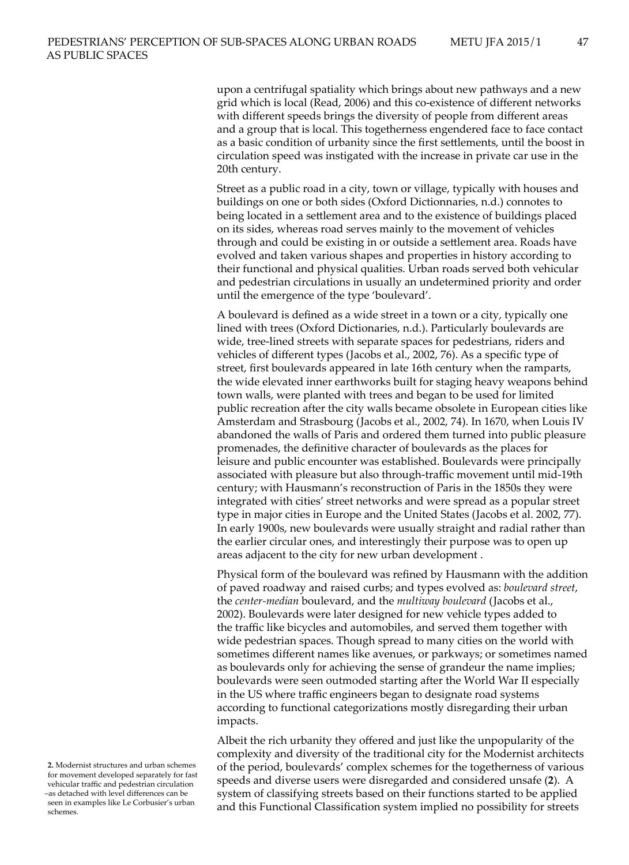upon a centrifugal spatiality which brings about new pathways and a new grid which is local (Read, 2006) and this co-existence of different networks with different speeds brings the diversity of people from different areas and a group that is local. This togetherness engendered face to face contact as a basic condition of urbanity since the first settlements, until the boost in circulation speed was instigated with the increase in private car use in the 20th century.

Street as a public road in a city, town or village, typically with houses and buildings on one or both sides (Oxford Dictionnaries, n.d.) connotes to being located in a settlement area and to the existence of buildings placed on its sides, whereas road serves mainly to the movement of vehicles through and could be existing in or outside a settlement area. Roads have evolved and taken various shapes and properties in history according to their functional and physical qualities. Urban roads served both vehicular and pedestrian circulations in usually an undetermined priority and order until the emergence of the type 'boulevard'.

A boulevard is defined as a wide street in a town or a city, typically one lined with trees (Oxford Dictionaries, n.d.). Particularly boulevards are wide, tree-lined streets with separate spaces for pedestrians, riders and vehicles of different types (Jacobs et al., 2002, 76). As a specific type of street, first boulevards appeared in late 16th century when the ramparts, the wide elevated inner earthworks built for staging heavy weapons behind town walls, were planted with trees and began to be used for limited public recreation after the city walls became obsolete in European cities like Amsterdam and Strasbourg (Jacobs et al., 2002, 74). In 1670, when Louis IV abandoned the walls of Paris and ordered them turned into public pleasure promenades, the definitive character of boulevards as the places for leisure and public encounter was established. Boulevards were principally associated with pleasure but also through-traffic movement until mid-19th century; with Hausmann's reconstruction of Paris in the 1850s they were integrated with cities' street networks and were spread as a popular street type in major cities in Europe and the United States (Jacobs et al. 2002, 77). In early 1900s, new boulevards were usually straight and radial rather than the earlier circular ones, and interestingly their purpose was to open up areas adjacent to the city for new urban development .

Physical form of the boulevard was refined by Hausmann with the addition of paved roadway and raised curbs; and types evolved as: *boulevard street*, the *center-median* boulevard, and the *multiway boulevard* (Jacobs et al., 2002). Boulevards were later designed for new vehicle types added to the traffic like bicycles and automobiles, and served them together with wide pedestrian spaces. Though spread to many cities on the world with sometimes different names like avenues, or parkways; or sometimes named as boulevards only for achieving the sense of grandeur the name implies; boulevards were seen outmoded starting after the World War II especially in the US where traffic engineers began to designate road systems according to functional categorizations mostly disregarding their urban impacts.

Albeit the rich urbanity they offered and just like the unpopularity of the complexity and diversity of the traditional city for the Modernist architects of the period, boulevards' complex schemes for the togetherness of various speeds and diverse users were disregarded and considered unsafe (**2**). A system of classifying streets based on their functions started to be applied and this Functional Classification system implied no possibility for streets

**<sup>2.</sup>** Modernist structures and urban schemes for movement developed separately for fast vehicular traffic and pedestrian circulation –as detached with level differences can be seen in examples like Le Corbusier's urban schemes.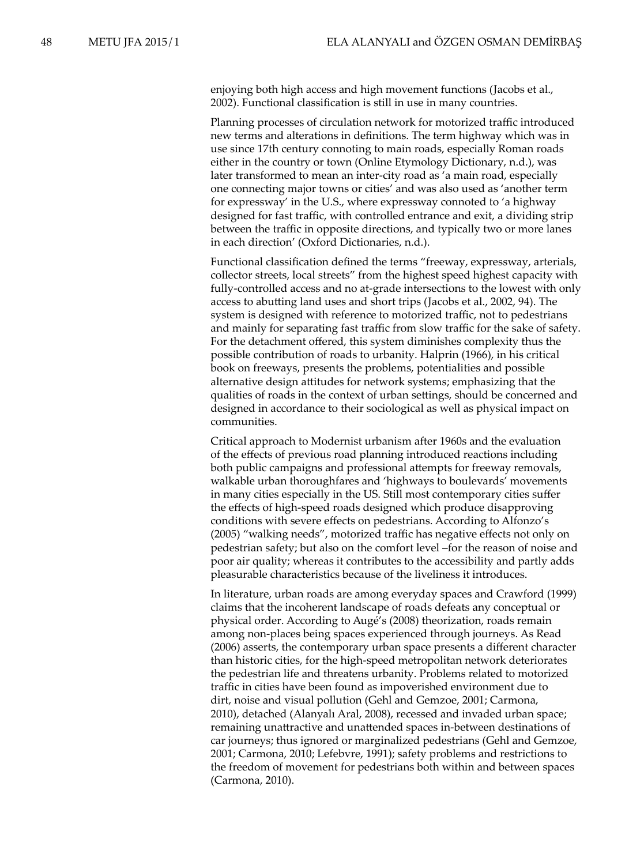enjoying both high access and high movement functions (Jacobs et al., 2002). Functional classification is still in use in many countries.

Planning processes of circulation network for motorized traffic introduced new terms and alterations in definitions. The term highway which was in use since 17th century connoting to main roads, especially Roman roads either in the country or town (Online Etymology Dictionary, n.d.), was later transformed to mean an inter-city road as 'a main road, especially one connecting major towns or cities' and was also used as 'another term for expressway' in the U.S., where expressway connoted to 'a highway designed for fast traffic, with controlled entrance and exit, a dividing strip between the traffic in opposite directions, and typically two or more lanes in each direction' (Oxford Dictionaries, n.d.).

Functional classification defined the terms "freeway, expressway, arterials, collector streets, local streets" from the highest speed highest capacity with fully-controlled access and no at-grade intersections to the lowest with only access to abutting land uses and short trips (Jacobs et al., 2002, 94). The system is designed with reference to motorized traffic, not to pedestrians and mainly for separating fast traffic from slow traffic for the sake of safety. For the detachment offered, this system diminishes complexity thus the possible contribution of roads to urbanity. Halprin (1966), in his critical book on freeways, presents the problems, potentialities and possible alternative design attitudes for network systems; emphasizing that the qualities of roads in the context of urban settings, should be concerned and designed in accordance to their sociological as well as physical impact on communities.

Critical approach to Modernist urbanism after 1960s and the evaluation of the effects of previous road planning introduced reactions including both public campaigns and professional attempts for freeway removals, walkable urban thoroughfares and 'highways to boulevards' movements in many cities especially in the US. Still most contemporary cities suffer the effects of high-speed roads designed which produce disapproving conditions with severe effects on pedestrians. According to Alfonzo's (2005) "walking needs", motorized traffic has negative effects not only on pedestrian safety; but also on the comfort level –for the reason of noise and poor air quality; whereas it contributes to the accessibility and partly adds pleasurable characteristics because of the liveliness it introduces.

In literature, urban roads are among everyday spaces and Crawford (1999) claims that the incoherent landscape of roads defeats any conceptual or physical order. According to Augé's (2008) theorization, roads remain among non-places being spaces experienced through journeys. As Read (2006) asserts, the contemporary urban space presents a different character than historic cities, for the high-speed metropolitan network deteriorates the pedestrian life and threatens urbanity. Problems related to motorized traffic in cities have been found as impoverished environment due to dirt, noise and visual pollution (Gehl and Gemzoe, 2001; Carmona, 2010), detached (Alanyalı Aral, 2008), recessed and invaded urban space; remaining unattractive and unattended spaces in-between destinations of car journeys; thus ignored or marginalized pedestrians (Gehl and Gemzoe, 2001; Carmona, 2010; Lefebvre, 1991); safety problems and restrictions to the freedom of movement for pedestrians both within and between spaces (Carmona, 2010).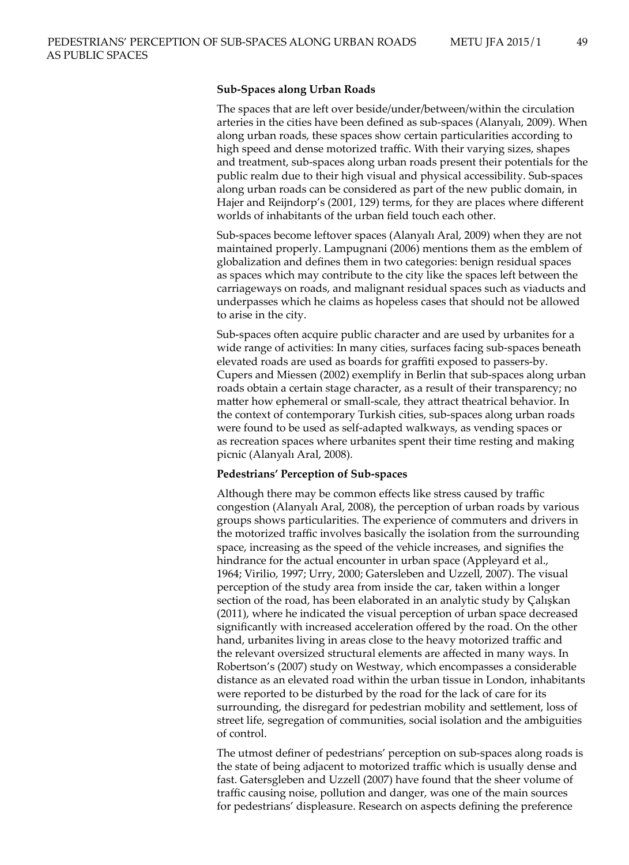## **Sub-Spaces along Urban Roads**

The spaces that are left over beside/under/between/within the circulation arteries in the cities have been defined as sub-spaces (Alanyalı, 2009). When along urban roads, these spaces show certain particularities according to high speed and dense motorized traffic. With their varying sizes, shapes and treatment, sub-spaces along urban roads present their potentials for the public realm due to their high visual and physical accessibility. Sub-spaces along urban roads can be considered as part of the new public domain, in Hajer and Reijndorp's (2001, 129) terms, for they are places where different worlds of inhabitants of the urban field touch each other.

Sub-spaces become leftover spaces (Alanyalı Aral, 2009) when they are not maintained properly. Lampugnani (2006) mentions them as the emblem of globalization and defines them in two categories: benign residual spaces as spaces which may contribute to the city like the spaces left between the carriageways on roads, and malignant residual spaces such as viaducts and underpasses which he claims as hopeless cases that should not be allowed to arise in the city.

Sub-spaces often acquire public character and are used by urbanites for a wide range of activities: In many cities, surfaces facing sub-spaces beneath elevated roads are used as boards for graffiti exposed to passers-by. Cupers and Miessen (2002) exemplify in Berlin that sub-spaces along urban roads obtain a certain stage character, as a result of their transparency; no matter how ephemeral or small-scale, they attract theatrical behavior. In the context of contemporary Turkish cities, sub-spaces along urban roads were found to be used as self-adapted walkways, as vending spaces or as recreation spaces where urbanites spent their time resting and making picnic (Alanyalı Aral, 2008).

### **Pedestrians' Perception of Sub-spaces**

Although there may be common effects like stress caused by traffic congestion (Alanyalı Aral, 2008), the perception of urban roads by various groups shows particularities. The experience of commuters and drivers in the motorized traffic involves basically the isolation from the surrounding space, increasing as the speed of the vehicle increases, and signifies the hindrance for the actual encounter in urban space (Appleyard et al., 1964; Virilio, 1997; Urry, 2000; Gatersleben and Uzzell, 2007). The visual perception of the study area from inside the car, taken within a longer section of the road, has been elaborated in an analytic study by Çalışkan (2011), where he indicated the visual perception of urban space decreased significantly with increased acceleration offered by the road. On the other hand, urbanites living in areas close to the heavy motorized traffic and the relevant oversized structural elements are affected in many ways. In Robertson's (2007) study on Westway, which encompasses a considerable distance as an elevated road within the urban tissue in London, inhabitants were reported to be disturbed by the road for the lack of care for its surrounding, the disregard for pedestrian mobility and settlement, loss of street life, segregation of communities, social isolation and the ambiguities of control.

The utmost definer of pedestrians' perception on sub-spaces along roads is the state of being adjacent to motorized traffic which is usually dense and fast. Gatersgleben and Uzzell (2007) have found that the sheer volume of traffic causing noise, pollution and danger, was one of the main sources for pedestrians' displeasure. Research on aspects defining the preference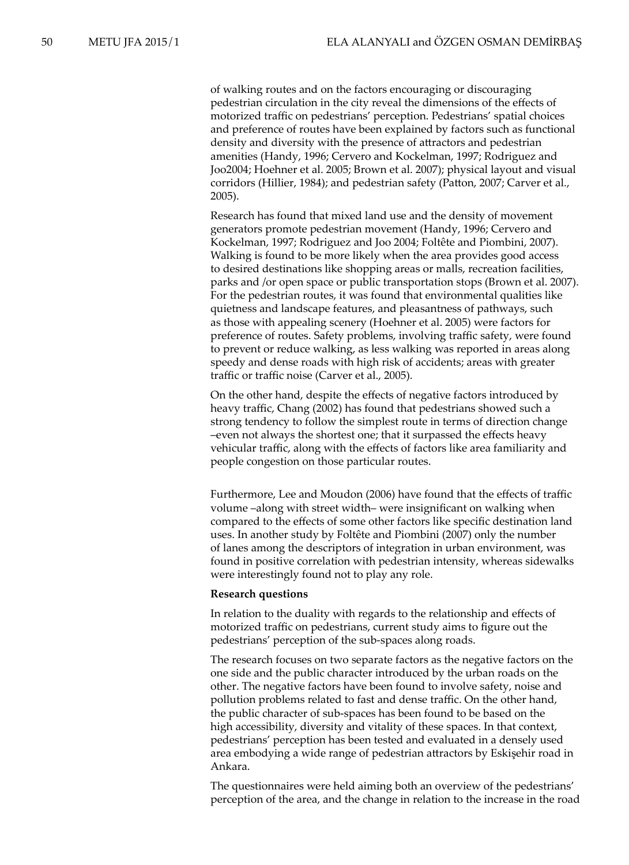of walking routes and on the factors encouraging or discouraging pedestrian circulation in the city reveal the dimensions of the effects of motorized traffic on pedestrians' perception. Pedestrians' spatial choices and preference of routes have been explained by factors such as functional density and diversity with the presence of attractors and pedestrian amenities (Handy, 1996; Cervero and Kockelman, 1997; Rodriguez and Joo2004; Hoehner et al. 2005; Brown et al. 2007); physical layout and visual corridors (Hillier, 1984); and pedestrian safety (Patton, 2007; Carver et al., 2005).

Research has found that mixed land use and the density of movement generators promote pedestrian movement (Handy, 1996; Cervero and Kockelman, 1997; Rodriguez and Joo 2004; Foltête and Piombini, 2007). Walking is found to be more likely when the area provides good access to desired destinations like shopping areas or malls, recreation facilities, parks and /or open space or public transportation stops (Brown et al. 2007). For the pedestrian routes, it was found that environmental qualities like quietness and landscape features, and pleasantness of pathways, such as those with appealing scenery (Hoehner et al. 2005) were factors for preference of routes. Safety problems, involving traffic safety, were found to prevent or reduce walking, as less walking was reported in areas along speedy and dense roads with high risk of accidents; areas with greater traffic or traffic noise (Carver et al., 2005).

On the other hand, despite the effects of negative factors introduced by heavy traffic, Chang (2002) has found that pedestrians showed such a strong tendency to follow the simplest route in terms of direction change –even not always the shortest one; that it surpassed the effects heavy vehicular traffic, along with the effects of factors like area familiarity and people congestion on those particular routes.

Furthermore, Lee and Moudon (2006) have found that the effects of traffic volume –along with street width– were insignificant on walking when compared to the effects of some other factors like specific destination land uses. In another study by Foltête and Piombini (2007) only the number of lanes among the descriptors of integration in urban environment, was found in positive correlation with pedestrian intensity, whereas sidewalks were interestingly found not to play any role.

#### **Research questions**

In relation to the duality with regards to the relationship and effects of motorized traffic on pedestrians, current study aims to figure out the pedestrians' perception of the sub-spaces along roads.

The research focuses on two separate factors as the negative factors on the one side and the public character introduced by the urban roads on the other. The negative factors have been found to involve safety, noise and pollution problems related to fast and dense traffic. On the other hand, the public character of sub-spaces has been found to be based on the high accessibility, diversity and vitality of these spaces. In that context, pedestrians' perception has been tested and evaluated in a densely used area embodying a wide range of pedestrian attractors by Eskişehir road in Ankara.

The questionnaires were held aiming both an overview of the pedestrians' perception of the area, and the change in relation to the increase in the road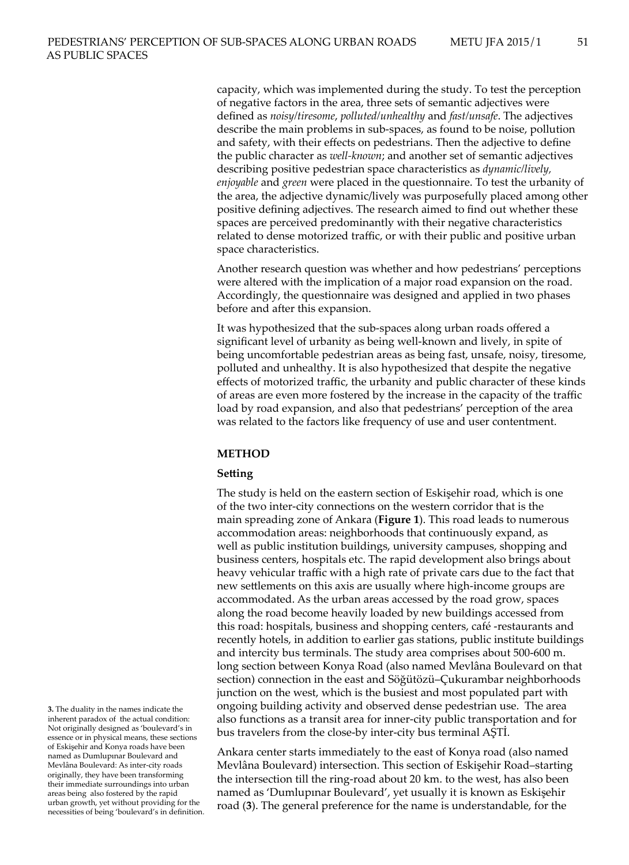capacity, which was implemented during the study. To test the perception of negative factors in the area, three sets of semantic adjectives were defined as *noisy/tiresome*, *polluted/unhealthy* and *fast/unsafe*. The adjectives describe the main problems in sub-spaces, as found to be noise, pollution and safety, with their effects on pedestrians. Then the adjective to define the public character as *well-known*; and another set of semantic adjectives describing positive pedestrian space characteristics as *dynamic/lively, enjoyable* and *green* were placed in the questionnaire. To test the urbanity of the area, the adjective dynamic/lively was purposefully placed among other positive defining adjectives. The research aimed to find out whether these spaces are perceived predominantly with their negative characteristics related to dense motorized traffic, or with their public and positive urban space characteristics.

Another research question was whether and how pedestrians' perceptions were altered with the implication of a major road expansion on the road. Accordingly, the questionnaire was designed and applied in two phases before and after this expansion.

It was hypothesized that the sub-spaces along urban roads offered a significant level of urbanity as being well-known and lively, in spite of being uncomfortable pedestrian areas as being fast, unsafe, noisy, tiresome, polluted and unhealthy. It is also hypothesized that despite the negative effects of motorized traffic, the urbanity and public character of these kinds of areas are even more fostered by the increase in the capacity of the traffic load by road expansion, and also that pedestrians' perception of the area was related to the factors like frequency of use and user contentment.

## **METHOD**

#### **Setting**

The study is held on the eastern section of Eskişehir road, which is one of the two inter-city connections on the western corridor that is the main spreading zone of Ankara (**Figure 1**). This road leads to numerous accommodation areas: neighborhoods that continuously expand, as well as public institution buildings, university campuses, shopping and business centers, hospitals etc. The rapid development also brings about heavy vehicular traffic with a high rate of private cars due to the fact that new settlements on this axis are usually where high-income groups are accommodated. As the urban areas accessed by the road grow, spaces along the road become heavily loaded by new buildings accessed from this road: hospitals, business and shopping centers, café -restaurants and recently hotels, in addition to earlier gas stations, public institute buildings and intercity bus terminals. The study area comprises about 500-600 m. long section between Konya Road (also named Mevlâna Boulevard on that section) connection in the east and Söğütözü–Çukurambar neighborhoods junction on the west, which is the busiest and most populated part with ongoing building activity and observed dense pedestrian use. The area also functions as a transit area for inner-city public transportation and for bus travelers from the close-by inter-city bus terminal AŞTİ.

Ankara center starts immediately to the east of Konya road (also named Mevlâna Boulevard) intersection. This section of Eskişehir Road–starting the intersection till the ring-road about 20 km. to the west, has also been named as 'Dumlupınar Boulevard', yet usually it is known as Eskişehir road (**3**). The general preference for the name is understandable, for the

**<sup>3.</sup>** The duality in the names indicate the inherent paradox of the actual condition: Not originally designed as 'boulevard's in essence or in physical means, these sections of Eskişehir and Konya roads have been named as Dumlupınar Boulevard and Mevlâna Boulevard: As inter-city roads originally, they have been transforming their immediate surroundings into urban areas being also fostered by the rapid urban growth, yet without providing for the necessities of being 'boulevard's in definition.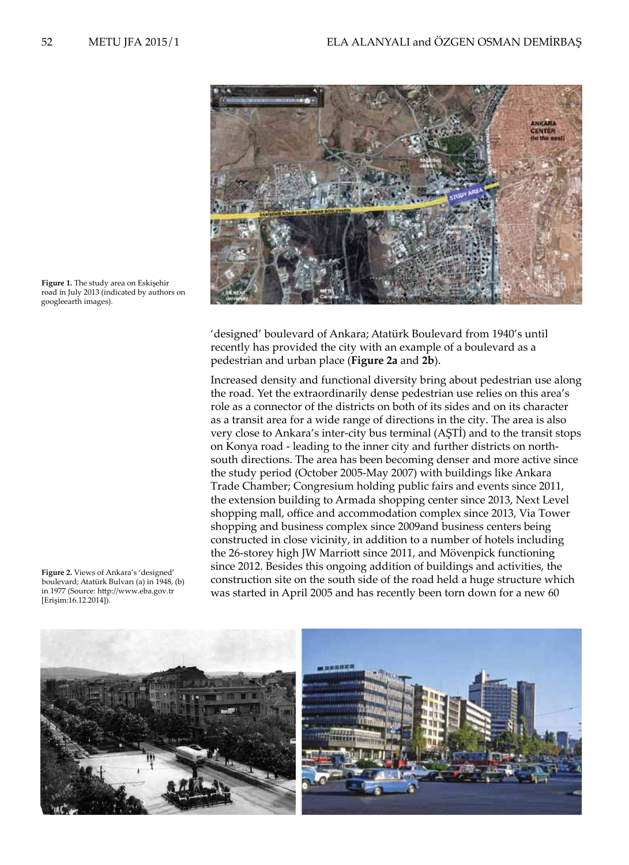

**Figure 1.** The study area on Eskişehir road in July 2013 (indicated by authors on googleearth images).

'designed' boulevard of Ankara; Atatürk Boulevard from 1940's until recently has provided the city with an example of a boulevard as a pedestrian and urban place (**Figure 2a** and **2b**).

Increased density and functional diversity bring about pedestrian use along the road. Yet the extraordinarily dense pedestrian use relies on this area's role as a connector of the districts on both of its sides and on its character as a transit area for a wide range of directions in the city. The area is also very close to Ankara's inter-city bus terminal (AŞTİ) and to the transit stops on Konya road - leading to the inner city and further districts on northsouth directions. The area has been becoming denser and more active since the study period (October 2005-May 2007) with buildings like Ankara Trade Chamber; Congresium holding public fairs and events since 2011, the extension building to Armada shopping center since 2013, Next Level shopping mall, office and accommodation complex since 2013, Via Tower shopping and business complex since 2009and business centers being constructed in close vicinity, in addition to a number of hotels including the 26-storey high JW Marriott since 2011, and Mövenpick functioning since 2012. Besides this ongoing addition of buildings and activities, the construction site on the south side of the road held a huge structure which was started in April 2005 and has recently been torn down for a new 60





**Figure 2.** Views of Ankara's 'designed' boulevard; Atatürk Bulvarı (a) in 1948, (b) in 1977 (Source: http://www.eba.gov.tr [Erişim:16.12.2014]).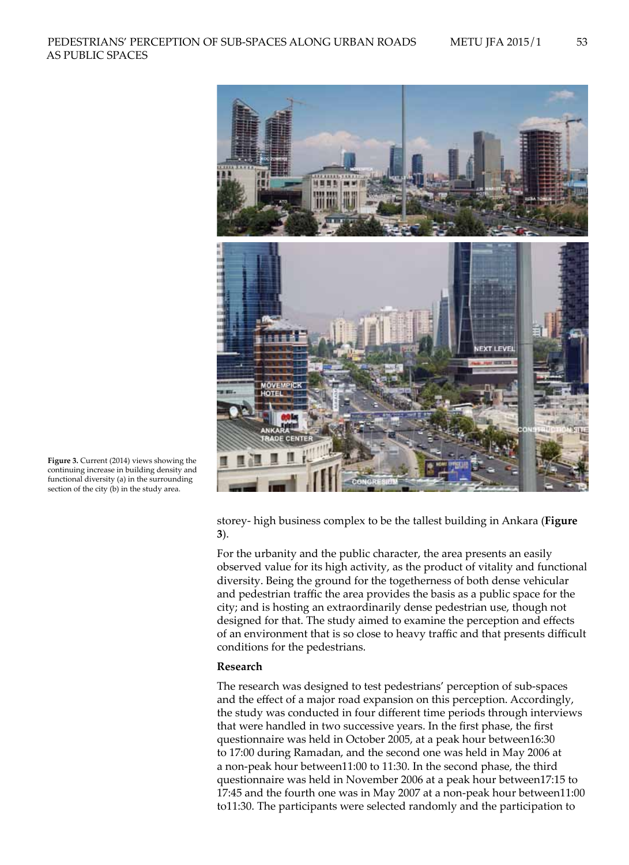

**Figure 3.** Current (2014) views showing the continuing increase in building density and functional diversity (a) in the surrounding section of the city (b) in the study area.

> storey- high business complex to be the tallest building in Ankara (**Figure 3**).

For the urbanity and the public character, the area presents an easily observed value for its high activity, as the product of vitality and functional diversity. Being the ground for the togetherness of both dense vehicular and pedestrian traffic the area provides the basis as a public space for the city; and is hosting an extraordinarily dense pedestrian use, though not designed for that. The study aimed to examine the perception and effects of an environment that is so close to heavy traffic and that presents difficult conditions for the pedestrians.

## **Research**

The research was designed to test pedestrians' perception of sub-spaces and the effect of a major road expansion on this perception. Accordingly, the study was conducted in four different time periods through interviews that were handled in two successive years. In the first phase, the first questionnaire was held in October 2005, at a peak hour between16:30 to 17:00 during Ramadan, and the second one was held in May 2006 at a non-peak hour between11:00 to 11:30. In the second phase, the third questionnaire was held in November 2006 at a peak hour between17:15 to 17:45 and the fourth one was in May 2007 at a non-peak hour between11:00 to11:30. The participants were selected randomly and the participation to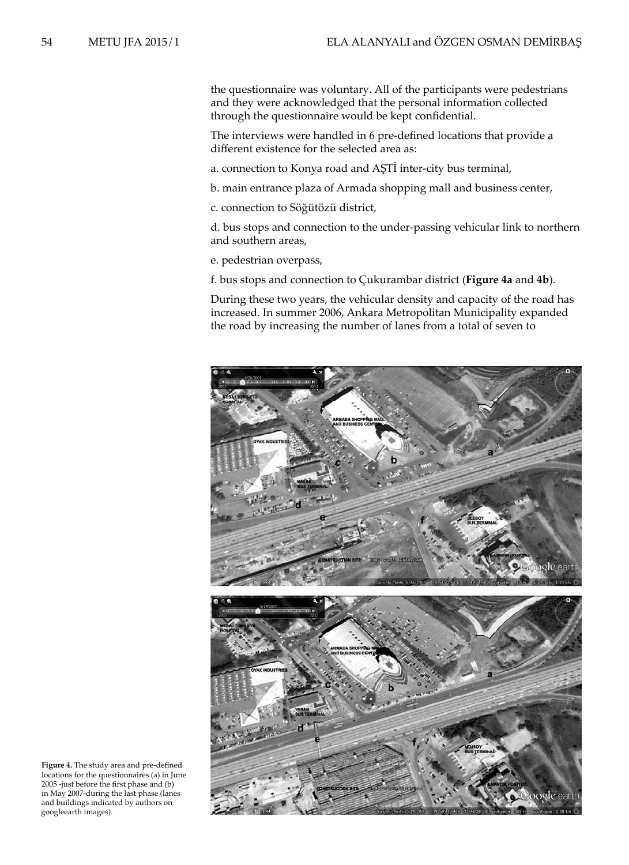the questionnaire was voluntary. All of the participants were pedestrians and they were acknowledged that the personal information collected through the questionnaire would be kept confidential.

The interviews were handled in 6 pre-defined locations that provide a different existence for the selected area as:

a. connection to Konya road and AŞTİ inter-city bus terminal,

b. main entrance plaza of Armada shopping mall and business center,

c. connection to Söğütözü district,

d. bus stops and connection to the under-passing vehicular link to northern and southern areas,

e. pedestrian overpass,

f. bus stops and connection to Çukurambar district (**Figure 4a** and **4b**).

During these two years, the vehicular density and capacity of the road has increased. In summer 2006, Ankara Metropolitan Municipality expanded the road by increasing the number of lanes from a total of seven to



**Figure 4.** The study area and pre-defined locations for the questionnaires (a) in June 2005 -just before the first phase and (b) in May 2007-during the last phase (lanes and buildings indicated by authors on googleearth images).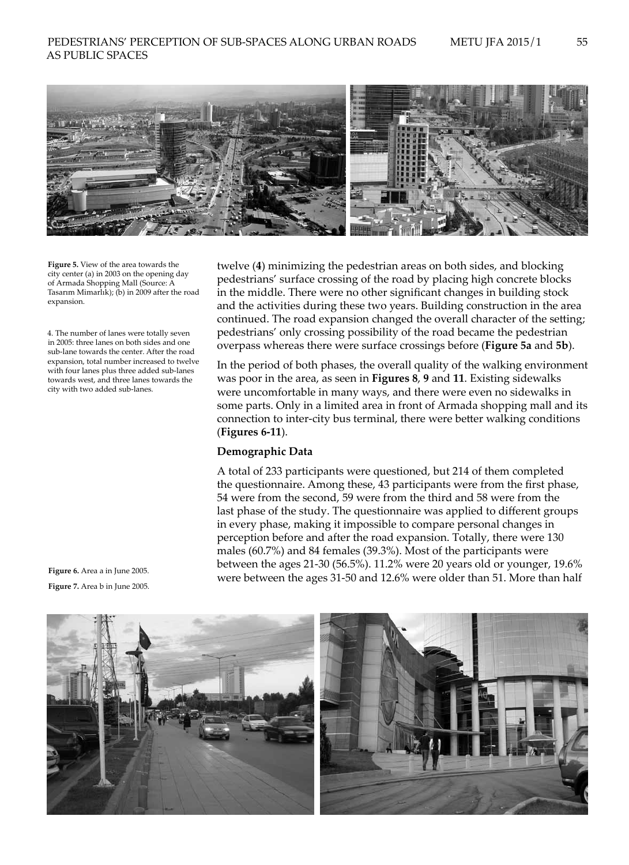

**Figure 5.** View of the area towards the city center (a) in 2003 on the opening day of Armada Shopping Mall (Source: A Tasarım Mimarlık); (b) in 2009 after the road expansion.

4. The number of lanes were totally seven in 2005: three lanes on both sides and one sub-lane towards the center. After the road expansion, total number increased to twelve with four lanes plus three added sub-lanes towards west, and three lanes towards the city with two added sub-lanes.

**Figure 6.** Area a in June 2005. **Figure 7.** Area b in June 2005.

twelve (**4**) minimizing the pedestrian areas on both sides, and blocking pedestrians' surface crossing of the road by placing high concrete blocks in the middle. There were no other significant changes in building stock and the activities during these two years. Building construction in the area continued. The road expansion changed the overall character of the setting; pedestrians' only crossing possibility of the road became the pedestrian overpass whereas there were surface crossings before (**Figure 5a** and **5b**).

In the period of both phases, the overall quality of the walking environment was poor in the area, as seen in **Figures 8**, **9** and **11**. Existing sidewalks were uncomfortable in many ways, and there were even no sidewalks in some parts. Only in a limited area in front of Armada shopping mall and its connection to inter-city bus terminal, there were better walking conditions (**Figures 6-11**).

## **Demographic Data**

A total of 233 participants were questioned, but 214 of them completed the questionnaire. Among these, 43 participants were from the first phase, 54 were from the second, 59 were from the third and 58 were from the last phase of the study. The questionnaire was applied to different groups in every phase, making it impossible to compare personal changes in perception before and after the road expansion. Totally, there were 130 males (60.7%) and 84 females (39.3%). Most of the participants were between the ages 21-30 (56.5%). 11.2% were 20 years old or younger, 19.6% were between the ages 31-50 and 12.6% were older than 51. More than half

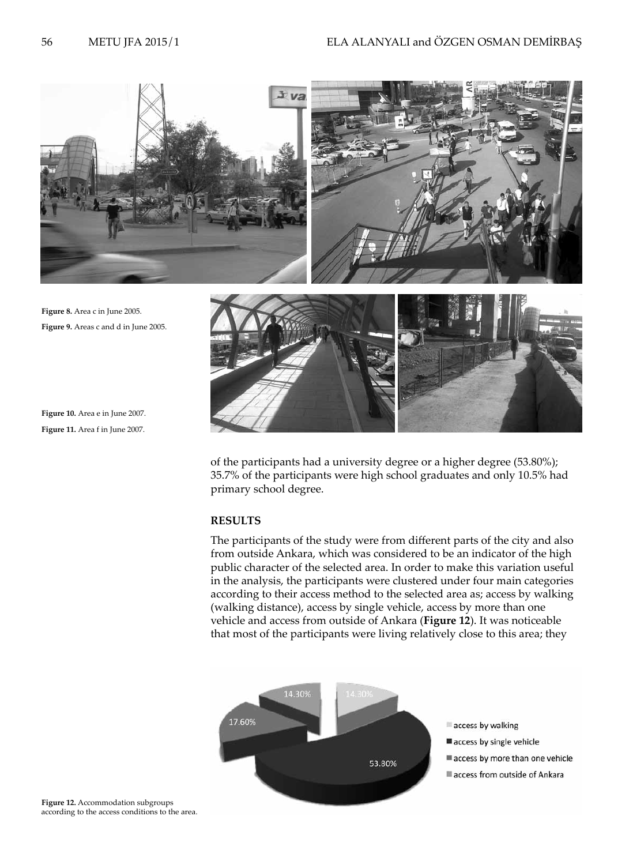

**Figure 10.** Area e in June 2007. **Figure 11.** Area f in June 2007.

> of the participants had a university degree or a higher degree (53.80%); 35.7% of the participants were high school graduates and only 10.5% had primary school degree.

# **RESULTS**

The participants of the study were from different parts of the city and also from outside Ankara, which was considered to be an indicator of the high public character of the selected area. In order to make this variation useful in the analysis, the participants were clustered under four main categories according to their access method to the selected area as; access by walking (walking distance), access by single vehicle, access by more than one vehicle and access from outside of Ankara (**Figure 12**). It was noticeable that most of the participants were living relatively close to this area; they



**Figure 12.** Accommodation subgroups according to the access conditions to the area.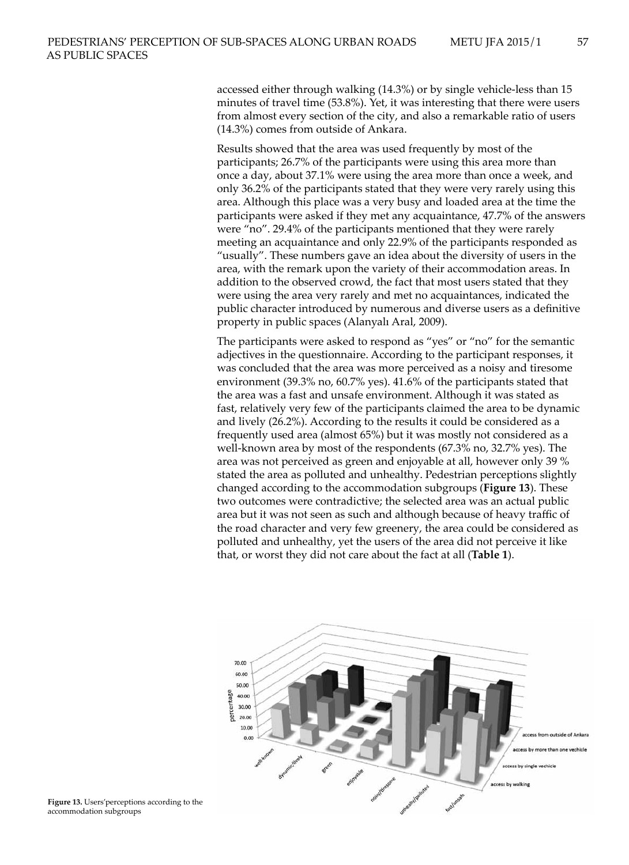accessed either through walking (14.3%) or by single vehicle-less than 15 minutes of travel time (53.8%). Yet, it was interesting that there were users from almost every section of the city, and also a remarkable ratio of users (14.3%) comes from outside of Ankara.

Results showed that the area was used frequently by most of the participants; 26.7% of the participants were using this area more than once a day, about 37.1% were using the area more than once a week, and only 36.2% of the participants stated that they were very rarely using this area. Although this place was a very busy and loaded area at the time the participants were asked if they met any acquaintance, 47.7% of the answers were "no". 29.4% of the participants mentioned that they were rarely meeting an acquaintance and only 22.9% of the participants responded as "usually". These numbers gave an idea about the diversity of users in the area, with the remark upon the variety of their accommodation areas. In addition to the observed crowd, the fact that most users stated that they were using the area very rarely and met no acquaintances, indicated the public character introduced by numerous and diverse users as a definitive property in public spaces (Alanyalı Aral, 2009).

The participants were asked to respond as "yes" or "no" for the semantic adjectives in the questionnaire. According to the participant responses, it was concluded that the area was more perceived as a noisy and tiresome environment (39.3% no, 60.7% yes). 41.6% of the participants stated that the area was a fast and unsafe environment. Although it was stated as fast, relatively very few of the participants claimed the area to be dynamic and lively (26.2%). According to the results it could be considered as a frequently used area (almost 65%) but it was mostly not considered as a well-known area by most of the respondents (67.3% no, 32.7% yes). The area was not perceived as green and enjoyable at all, however only 39 % stated the area as polluted and unhealthy. Pedestrian perceptions slightly changed according to the accommodation subgroups (**Figure 13**). These two outcomes were contradictive; the selected area was an actual public area but it was not seen as such and although because of heavy traffic of the road character and very few greenery, the area could be considered as polluted and unhealthy, yet the users of the area did not perceive it like that, or worst they did not care about the fact at all (**Table 1**).



**Figure 13.** Users'perceptions according to the accommodation subgroups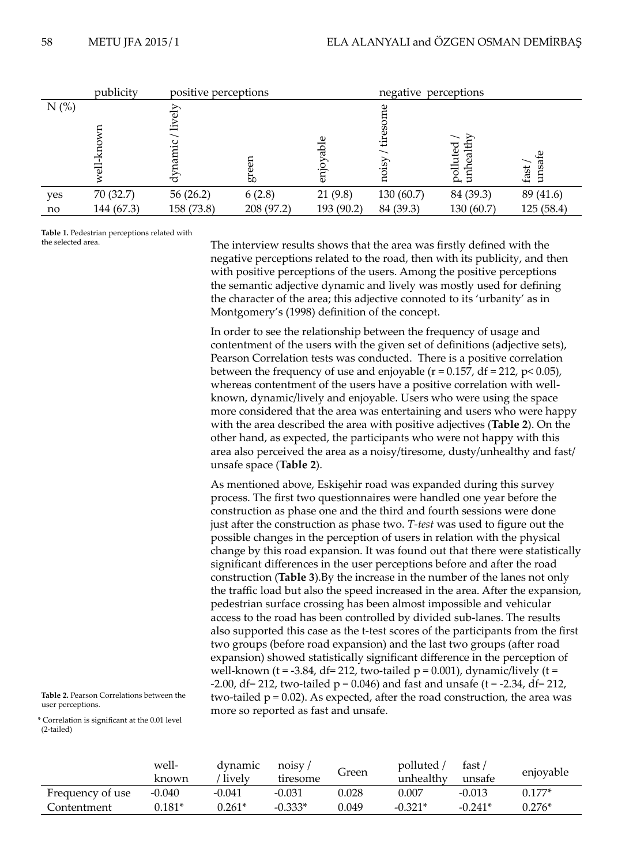|         | publicity  | positive perceptions       |            |                 | negative perceptions |                          |                |
|---------|------------|----------------------------|------------|-----------------|----------------------|--------------------------|----------------|
| $N$ (%) | 귺          | lively<br>amic<br>$dy_{I}$ | ద్         | Φ<br>Ř<br>enjoy |                      | $e$ alth<br>uted<br>poll | unsafe<br>fast |
| yes     | 70 (32.7)  | 56(26.2)                   | 6(2.8)     | 21(9.8)         | 130(60.7)            | 84 (39.3)                | 89 (41.6)      |
| no      | 144 (67.3) | 158 (73.8)                 | 208 (97.2) | 193 (90.2)      | 84 (39.3)            | 130 (60.7)               | 125 (58.4)     |

**Table 1.** Pedestrian perceptions related with the selected area.

The interview results shows that the area was firstly defined with the negative perceptions related to the road, then with its publicity, and then with positive perceptions of the users. Among the positive perceptions the semantic adjective dynamic and lively was mostly used for defining the character of the area; this adjective connoted to its 'urbanity' as in Montgomery's (1998) definition of the concept.

In order to see the relationship between the frequency of usage and contentment of the users with the given set of definitions (adjective sets), Pearson Correlation tests was conducted. There is a positive correlation between the frequency of use and enjoyable ( $r = 0.157$ , df = 212,  $p < 0.05$ ), whereas contentment of the users have a positive correlation with wellknown, dynamic/lively and enjoyable. Users who were using the space more considered that the area was entertaining and users who were happy with the area described the area with positive adjectives (**Table 2**). On the other hand, as expected, the participants who were not happy with this area also perceived the area as a noisy/tiresome, dusty/unhealthy and fast/ unsafe space (**Table 2**).

As mentioned above, Eskişehir road was expanded during this survey process. The first two questionnaires were handled one year before the construction as phase one and the third and fourth sessions were done just after the construction as phase two. *T-test* was used to figure out the possible changes in the perception of users in relation with the physical change by this road expansion. It was found out that there were statistically significant differences in the user perceptions before and after the road construction (**Table 3**).By the increase in the number of the lanes not only the traffic load but also the speed increased in the area. After the expansion, pedestrian surface crossing has been almost impossible and vehicular access to the road has been controlled by divided sub-lanes. The results also supported this case as the t-test scores of the participants from the first two groups (before road expansion) and the last two groups (after road expansion) showed statistically significant difference in the perception of well-known (t = -3.84, df = 212, two-tailed  $p = 0.001$ ), dynamic/lively (t =  $-2.00$ , df = 212, two-tailed  $p = 0.046$ ) and fast and unsafe (t =  $-2.34$ , df = 212, two-tailed  $p = 0.02$ ). As expected, after the road construction, the area was more so reported as fast and unsafe.

**Table 2.** Pearson Correlations between the user perceptions.

\* Correlation is significant at the 0.01 level (2-tailed)

|                  | well-<br>known | dynamic<br>lively | noisv<br>tiresome | Green | polluted<br>unhealthy | ، fast<br>unsafe | enjoyable |
|------------------|----------------|-------------------|-------------------|-------|-----------------------|------------------|-----------|
| Frequency of use | -0.040         | $-0.041$          | $-0.031$          | 0.028 | 0.007                 | -0.013           | $0.177*$  |
| Contentment      | $0.181*$       | $0.261^*$         | $-0.333*$         | 0.049 | $-0.321*$             | $-0.241*$        | $0.276*$  |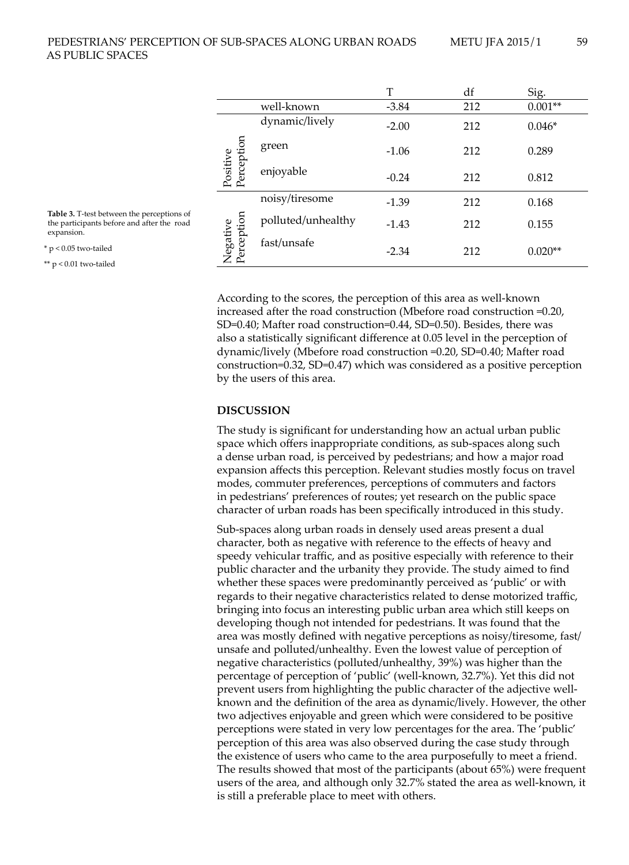|                        |                    | T       | df  | Sig.      |
|------------------------|--------------------|---------|-----|-----------|
|                        | well-known         | $-3.84$ | 212 | $0.001**$ |
| Positive<br>Perception | dynamic/lively     | $-2.00$ | 212 | $0.046*$  |
|                        | green              | $-1.06$ | 212 | 0.289     |
|                        | enjoyable          | $-0.24$ | 212 | 0.812     |
| Negative<br>Perception | noisy/tiresome     | $-1.39$ | 212 | 0.168     |
|                        | polluted/unhealthy | $-1.43$ | 212 | 0.155     |
|                        | fast/unsafe        | $-2.34$ | 212 | $0.020**$ |

According to the scores, the perception of this area as well-known increased after the road construction (Mbefore road construction =0.20, SD=0.40; Mafter road construction=0.44, SD=0.50). Besides, there was also a statistically significant difference at 0.05 level in the perception of dynamic/lively (Mbefore road construction =0.20, SD=0.40; Mafter road construction=0.32, SD=0.47) which was considered as a positive perception by the users of this area.

## **DISCUSSION**

The study is significant for understanding how an actual urban public space which offers inappropriate conditions, as sub-spaces along such a dense urban road, is perceived by pedestrians; and how a major road expansion affects this perception. Relevant studies mostly focus on travel modes, commuter preferences, perceptions of commuters and factors in pedestrians' preferences of routes; yet research on the public space character of urban roads has been specifically introduced in this study.

Sub-spaces along urban roads in densely used areas present a dual character, both as negative with reference to the effects of heavy and speedy vehicular traffic, and as positive especially with reference to their public character and the urbanity they provide. The study aimed to find whether these spaces were predominantly perceived as 'public' or with regards to their negative characteristics related to dense motorized traffic, bringing into focus an interesting public urban area which still keeps on developing though not intended for pedestrians. It was found that the area was mostly defined with negative perceptions as noisy/tiresome, fast/ unsafe and polluted/unhealthy. Even the lowest value of perception of negative characteristics (polluted/unhealthy, 39%) was higher than the percentage of perception of 'public' (well-known, 32.7%). Yet this did not prevent users from highlighting the public character of the adjective wellknown and the definition of the area as dynamic/lively. However, the other two adjectives enjoyable and green which were considered to be positive perceptions were stated in very low percentages for the area. The 'public' perception of this area was also observed during the case study through the existence of users who came to the area purposefully to meet a friend. The results showed that most of the participants (about 65%) were frequent users of the area, and although only 32.7% stated the area as well-known, it is still a preferable place to meet with others.

**Table 3.** T-test between the perceptions of the participants before and after the road expansion.

 $*$  p < 0.05 two-tailed

\*\* p < 0.01 two-tailed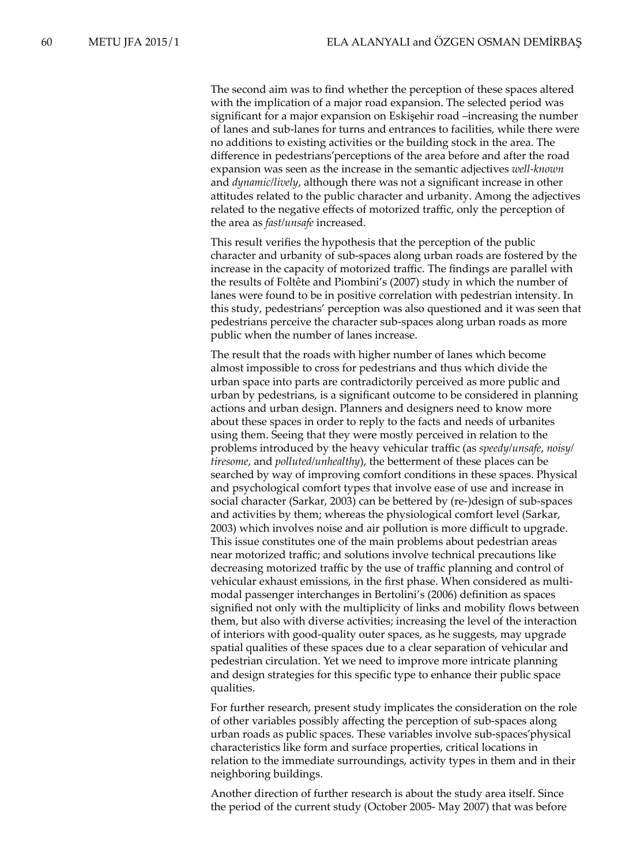The second aim was to find whether the perception of these spaces altered with the implication of a major road expansion. The selected period was significant for a major expansion on Eskişehir road –increasing the number of lanes and sub-lanes for turns and entrances to facilities, while there were no additions to existing activities or the building stock in the area. The difference in pedestrians'perceptions of the area before and after the road expansion was seen as the increase in the semantic adjectives *well-known* and *dynamic/lively*, although there was not a significant increase in other attitudes related to the public character and urbanity. Among the adjectives related to the negative effects of motorized traffic, only the perception of the area as *fast/unsafe* increased.

This result verifies the hypothesis that the perception of the public character and urbanity of sub-spaces along urban roads are fostered by the increase in the capacity of motorized traffic. The findings are parallel with the results of Foltête and Piombini's (2007) study in which the number of lanes were found to be in positive correlation with pedestrian intensity. In this study, pedestrians' perception was also questioned and it was seen that pedestrians perceive the character sub-spaces along urban roads as more public when the number of lanes increase.

The result that the roads with higher number of lanes which become almost impossible to cross for pedestrians and thus which divide the urban space into parts are contradictorily perceived as more public and urban by pedestrians, is a significant outcome to be considered in planning actions and urban design. Planners and designers need to know more about these spaces in order to reply to the facts and needs of urbanites using them. Seeing that they were mostly perceived in relation to the problems introduced by the heavy vehicular traffic (as *speedy/unsafe*, *noisy/ tiresome*, and *polluted/unhealthy*), the betterment of these places can be searched by way of improving comfort conditions in these spaces. Physical and psychological comfort types that involve ease of use and increase in social character (Sarkar, 2003) can be bettered by (re-)design of sub-spaces and activities by them; whereas the physiological comfort level (Sarkar, 2003) which involves noise and air pollution is more difficult to upgrade. This issue constitutes one of the main problems about pedestrian areas near motorized traffic; and solutions involve technical precautions like decreasing motorized traffic by the use of traffic planning and control of vehicular exhaust emissions, in the first phase. When considered as multimodal passenger interchanges in Bertolini's (2006) definition as spaces signified not only with the multiplicity of links and mobility flows between them, but also with diverse activities; increasing the level of the interaction of interiors with good-quality outer spaces, as he suggests, may upgrade spatial qualities of these spaces due to a clear separation of vehicular and pedestrian circulation. Yet we need to improve more intricate planning and design strategies for this specific type to enhance their public space qualities.

For further research, present study implicates the consideration on the role of other variables possibly affecting the perception of sub-spaces along urban roads as public spaces. These variables involve sub-spaces'physical characteristics like form and surface properties, critical locations in relation to the immediate surroundings, activity types in them and in their neighboring buildings.

Another direction of further research is about the study area itself. Since the period of the current study (October 2005- May 2007) that was before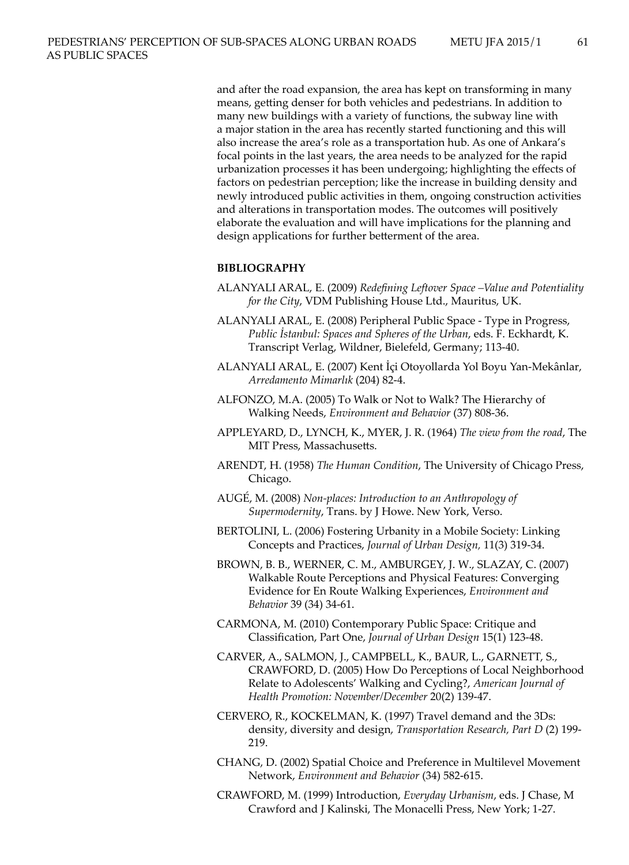and after the road expansion, the area has kept on transforming in many means, getting denser for both vehicles and pedestrians. In addition to many new buildings with a variety of functions, the subway line with a major station in the area has recently started functioning and this will also increase the area's role as a transportation hub. As one of Ankara's focal points in the last years, the area needs to be analyzed for the rapid urbanization processes it has been undergoing; highlighting the effects of factors on pedestrian perception; like the increase in building density and newly introduced public activities in them, ongoing construction activities and alterations in transportation modes. The outcomes will positively elaborate the evaluation and will have implications for the planning and design applications for further betterment of the area.

## **BIBLIOGRAPHY**

- ALANYALI ARAL, E. (2009) *Redefining Leftover Space –Value and Potentiality for the City*, VDM Publishing House Ltd., Mauritus, UK.
- ALANYALI ARAL, E. (2008) Peripheral Public Space Type in Progress, *Public İstanbul: Spaces and Spheres of the Urban*, eds. F. Eckhardt, K. Transcript Verlag, Wildner, Bielefeld, Germany; 113-40.
- ALANYALI ARAL, E. (2007) Kent İçi Otoyollarda Yol Boyu Yan-Mekânlar, *Arredamento Mimarlık* (204) 82-4.
- ALFONZO, M.A. (2005) To Walk or Not to Walk? The Hierarchy of Walking Needs, *Environment and Behavior* (37) 808-36.
- APPLEYARD, D., LYNCH, K., MYER, J. R. (1964) *The view from the road*, The MIT Press, Massachusetts.
- ARENDT, H. (1958) *The Human Condition*, The University of Chicago Press, Chicago.
- AUGÉ, M. (2008) *Non-places: Introduction to an Anthropology of Supermodernity*, Trans. by J Howe. New York, Verso.
- BERTOLINI, L. (2006) Fostering Urbanity in a Mobile Society: Linking Concepts and Practices, *Journal of Urban Design,* 11(3) 319-34.
- BROWN, B. B., WERNER, C. M., AMBURGEY, J. W., SLAZAY, C. (2007) Walkable Route Perceptions and Physical Features: Converging Evidence for En Route Walking Experiences, *Environment and Behavior* 39 (34) 34-61.
- CARMONA, M. (2010) Contemporary Public Space: Critique and Classification, Part One, *Journal of Urban Design* 15(1) 123-48.
- CARVER, A., SALMON, J., CAMPBELL, K., BAUR, L., GARNETT, S., CRAWFORD, D. (2005) How Do Perceptions of Local Neighborhood Relate to Adolescents' Walking and Cycling?, *American Journal of Health Promotion: November/December* 20(2) 139-47.
- CERVERO, R., KOCKELMAN, K. (1997) Travel demand and the 3Ds: density, diversity and design, *Transportation Research, Part D* (2) 199- 219.
- CHANG, D. (2002) Spatial Choice and Preference in Multilevel Movement Network, *Environment and Behavior* (34) 582-615.
- CRAWFORD, M. (1999) Introduction, *Everyday Urbanism*, eds. J Chase, M Crawford and J Kalinski, The Monacelli Press, New York; 1-27.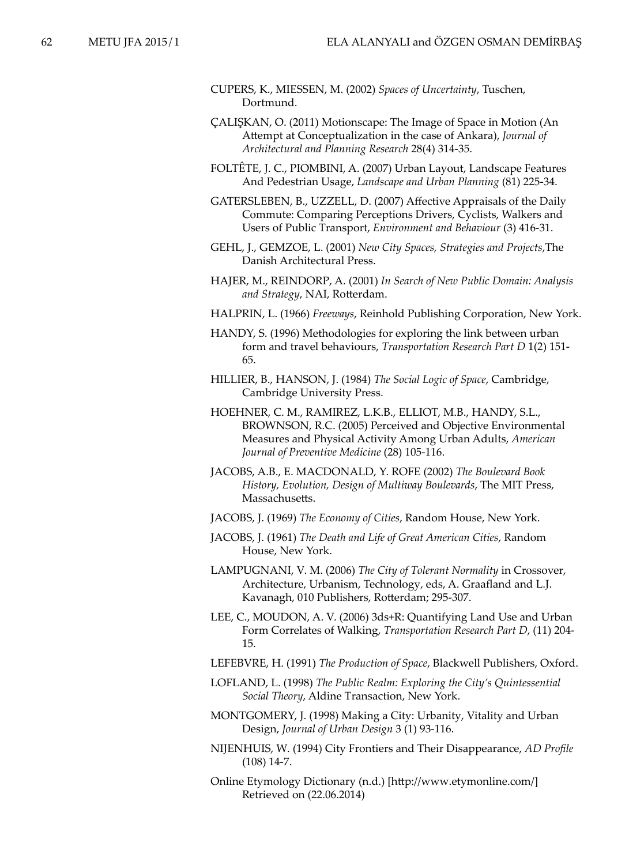- CUPERS, K., MIESSEN, M. (2002) *Spaces of Uncertainty*, Tuschen, Dortmund.
- ÇALIŞKAN, O. (2011) Motionscape: The Image of Space in Motion (An Attempt at Conceptualization in the case of Ankara), *Journal of Architectural and Planning Research* 28(4) 314-35.
- FOLTÊTE, J. C., PIOMBINI, A. (2007) Urban Layout, Landscape Features And Pedestrian Usage, *Landscape and Urban Planning* (81) 225-34.
- GATERSLEBEN, B., UZZELL, D. (2007) Affective Appraisals of the Daily Commute: Comparing Perceptions Drivers, Cyclists, Walkers and Users of Public Transport, *Environment and Behaviour* (3) 416-31.
- GEHL, J., GEMZOE, L. (2001) *New City Spaces, Strategies and Projects*,The Danish Architectural Press.
- HAJER, M., REINDORP, A. (2001) *In Search of New Public Domain: Analysis and Strategy*, NAI, Rotterdam.
- HALPRIN, L. (1966) *Freeways*, Reinhold Publishing Corporation, New York.
- HANDY, S. (1996) Methodologies for exploring the link between urban form and travel behaviours, *Transportation Research Part D* 1(2) 151- 65.
- HILLIER, B., HANSON, J. (1984) *The Social Logic of Space*, Cambridge, Cambridge University Press.
- HOEHNER, C. M., RAMIREZ, L.K.B., ELLIOT, M.B., HANDY, S.L., BROWNSON, R.C. (2005) Perceived and Objective Environmental Measures and Physical Activity Among Urban Adults, *American Journal of Preventive Medicine* (28) 105-116.
- JACOBS, A.B., E. MACDONALD, Y. ROFE (2002) *The Boulevard Book History, Evolution, Design of Multiway Boulevards*, The MIT Press, Massachusetts.
- JACOBS, J. (1969) *The Economy of Cities*, Random House, New York.
- JACOBS, J. (1961) *The Death and Life of Great American Cities*, Random House, New York.
- LAMPUGNANI, V. M. (2006) *The City of Tolerant Normality* in Crossover, Architecture, Urbanism, Technology, eds, A. Graafland and L.J. Kavanagh, 010 Publishers, Rotterdam; 295-307.
- LEE, C., MOUDON, A. V. (2006) 3ds+R: Quantifying Land Use and Urban Form Correlates of Walking, *Transportation Research Part D*, (11) 204- 15.
- LEFEBVRE, H. (1991) *The Production of Space*, Blackwell Publishers, Oxford.
- LOFLAND, L. (1998) *The Public Realm: Exploring the City's Quintessential Social Theory*, Aldine Transaction, New York.
- MONTGOMERY, J. (1998) Making a City: Urbanity, Vitality and Urban Design, *Journal of Urban Design* 3 (1) 93-116.
- NIJENHUIS, W. (1994) City Frontiers and Their Disappearance, *AD Profile* (108) 14-7.
- Online Etymology Dictionary (n.d.) [http://www.etymonline.com/] Retrieved on (22.06.2014)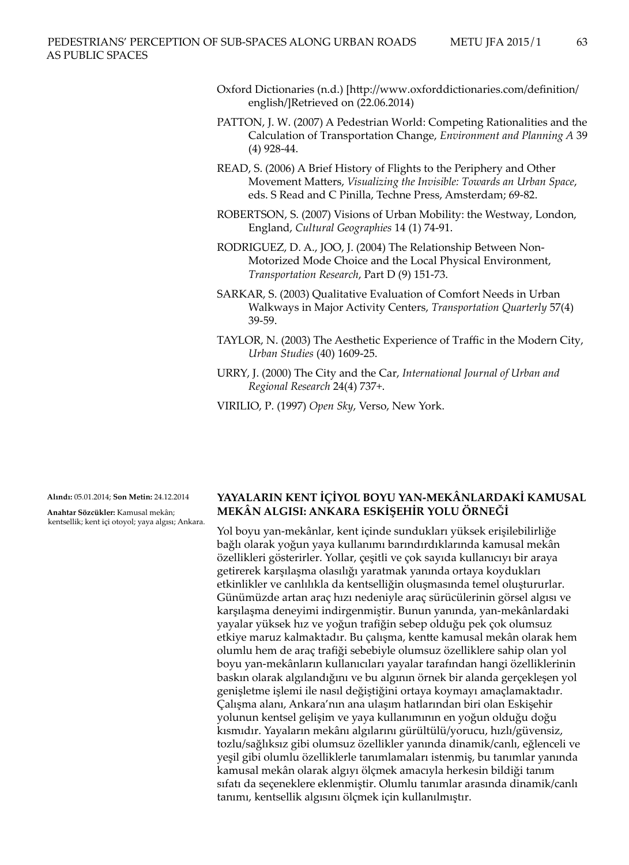- Oxford Dictionaries (n.d.) [http://www.oxforddictionaries.com/definition/ english/]Retrieved on (22.06.2014)
- PATTON, J. W. (2007) A Pedestrian World: Competing Rationalities and the Calculation of Transportation Change, *Environment and Planning A* 39 (4) 928-44.
- READ, S. (2006) A Brief History of Flights to the Periphery and Other Movement Matters, *Visualizing the Invisible: Towards an Urban Space*, eds. S Read and C Pinilla, Techne Press, Amsterdam; 69-82.
- ROBERTSON, S. (2007) Visions of Urban Mobility: the Westway, London, England, *Cultural Geographies* 14 (1) 74-91.
- RODRIGUEZ, D. A., JOO, J. (2004) The Relationship Between Non-Motorized Mode Choice and the Local Physical Environment, *Transportation Research*, Part D (9) 151-73.
- SARKAR, S. (2003) Qualitative Evaluation of Comfort Needs in Urban Walkways in Major Activity Centers, *Transportation Quarterly* 57(4) 39-59.
- TAYLOR, N. (2003) The Aesthetic Experience of Traffic in the Modern City, *Urban Studies* (40) 1609-25.
- URRY, J. (2000) The City and the Car, *International Journal of Urban and Regional Research* 24(4) 737+.
- VIRILIO, P. (1997) *Open Sky*, Verso, New York.

**Alındı:** 05.01.2014; **Son Metin:** 24.12.2014

**Anahtar Sözcükler:** Kamusal mekân; kentsellik; kent içi otoyol; yaya algısı; Ankara.

# **YAYALARIN KENT İÇİYOL BOYU YAN-MEKÂNLARDAKİ KAMUSAL MEKÂN ALGISI: ANKARA ESKİŞEHİR YOLU ÖRNEĞİ**

Yol boyu yan-mekânlar, kent içinde sundukları yüksek erişilebilirliğe bağlı olarak yoğun yaya kullanımı barındırdıklarında kamusal mekân özellikleri gösterirler. Yollar, çeşitli ve çok sayıda kullanıcıyı bir araya getirerek karşılaşma olasılığı yaratmak yanında ortaya koydukları etkinlikler ve canlılıkla da kentselliğin oluşmasında temel oluştururlar. Günümüzde artan araç hızı nedeniyle araç sürücülerinin görsel algısı ve karşılaşma deneyimi indirgenmiştir. Bunun yanında, yan-mekânlardaki yayalar yüksek hız ve yoğun trafiğin sebep olduğu pek çok olumsuz etkiye maruz kalmaktadır. Bu çalışma, kentte kamusal mekân olarak hem olumlu hem de araç trafiği sebebiyle olumsuz özelliklere sahip olan yol boyu yan-mekânların kullanıcıları yayalar tarafından hangi özelliklerinin baskın olarak algılandığını ve bu algının örnek bir alanda gerçekleşen yol genişletme işlemi ile nasıl değiştiğini ortaya koymayı amaçlamaktadır. Çalışma alanı, Ankara'nın ana ulaşım hatlarından biri olan Eskişehir yolunun kentsel gelişim ve yaya kullanımının en yoğun olduğu doğu kısmıdır. Yayaların mekânı algılarını gürültülü/yorucu, hızlı/güvensiz, tozlu/sağlıksız gibi olumsuz özellikler yanında dinamik/canlı, eğlenceli ve yeşil gibi olumlu özelliklerle tanımlamaları istenmiş, bu tanımlar yanında kamusal mekân olarak algıyı ölçmek amacıyla herkesin bildiği tanım sıfatı da seçeneklere eklenmiştir. Olumlu tanımlar arasında dinamik/canlı tanımı, kentsellik algısını ölçmek için kullanılmıştır.